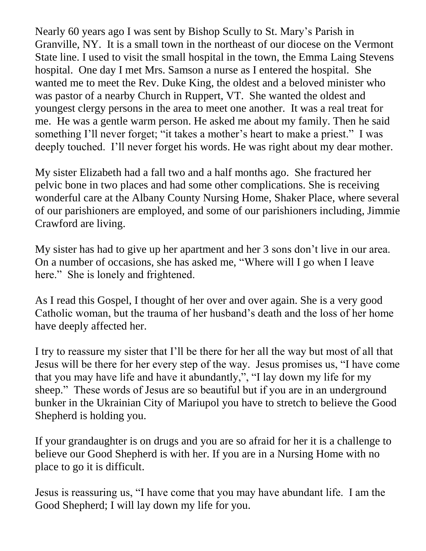Nearly 60 years ago I was sent by Bishop Scully to St. Mary's Parish in Granville, NY. It is a small town in the northeast of our diocese on the Vermont State line. I used to visit the small hospital in the town, the Emma Laing Stevens hospital. One day I met Mrs. Samson a nurse as I entered the hospital. She wanted me to meet the Rev. Duke King, the oldest and a beloved minister who was pastor of a nearby Church in Ruppert, VT. She wanted the oldest and youngest clergy persons in the area to meet one another. It was a real treat for me. He was a gentle warm person. He asked me about my family. Then he said something I'll never forget; "it takes a mother's heart to make a priest." I was deeply touched. I'll never forget his words. He was right about my dear mother.

My sister Elizabeth had a fall two and a half months ago. She fractured her pelvic bone in two places and had some other complications. She is receiving wonderful care at the Albany County Nursing Home, Shaker Place, where several of our parishioners are employed, and some of our parishioners including, Jimmie Crawford are living.

My sister has had to give up her apartment and her 3 sons don't live in our area. On a number of occasions, she has asked me, "Where will I go when I leave here." She is lonely and frightened.

As I read this Gospel, I thought of her over and over again. She is a very good Catholic woman, but the trauma of her husband's death and the loss of her home have deeply affected her.

I try to reassure my sister that I'll be there for her all the way but most of all that Jesus will be there for her every step of the way. Jesus promises us, "I have come that you may have life and have it abundantly,", "I lay down my life for my sheep." These words of Jesus are so beautiful but if you are in an underground bunker in the Ukrainian City of Mariupol you have to stretch to believe the Good Shepherd is holding you.

If your grandaughter is on drugs and you are so afraid for her it is a challenge to believe our Good Shepherd is with her. If you are in a Nursing Home with no place to go it is difficult.

Jesus is reassuring us, "I have come that you may have abundant life. I am the Good Shepherd; I will lay down my life for you.